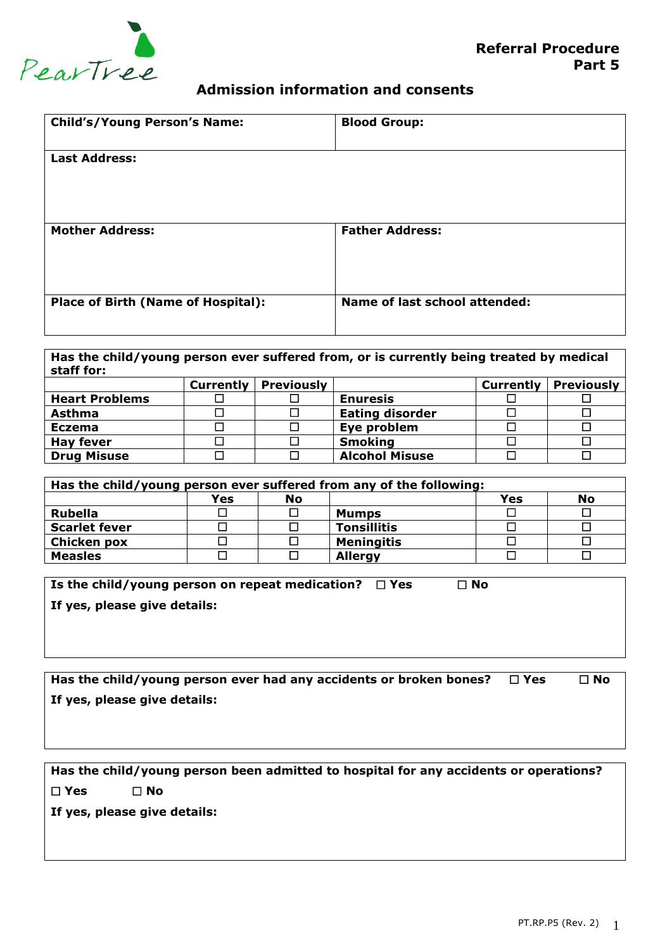

## **Admission information and consents**

| <b>Child's/Young Person's Name:</b>       | <b>Blood Group:</b>                  |
|-------------------------------------------|--------------------------------------|
| <b>Last Address:</b>                      |                                      |
|                                           |                                      |
| <b>Mother Address:</b>                    | <b>Father Address:</b>               |
|                                           |                                      |
| <b>Place of Birth (Name of Hospital):</b> | <b>Name of last school attended:</b> |

**Has the child/young person ever suffered from, or is currently being treated by medical staff for: Currently Previously Currently Previously Heart Problems Enuresis Asthma Bating disorder** Eating disorder Eating disorder Eating disorder E **Eczema a d D Eye problem d D D Hay fever Smoking Smoking Smoking Smoking Smoking Smoking Smoking Smoking Smoking Smoking Smoking Smoking Smoking Smoking Smoking Smoking Drug Misuse D D Alcohol Misuse** 

| Has the child/young person ever suffered from any of the following: |     |           |                    |     |           |
|---------------------------------------------------------------------|-----|-----------|--------------------|-----|-----------|
|                                                                     | Yes | <b>No</b> |                    | Yes | <b>No</b> |
| Rubella                                                             |     |           | Mumps              |     |           |
| <b>Scarlet fever</b>                                                |     |           | <b>Tonsillitis</b> |     |           |
| <b>Chicken pox</b>                                                  |     |           | <b>Meningitis</b>  |     |           |
| <b>Measles</b>                                                      |     |           | <b>Allergy</b>     |     |           |

| Is the child/young person on repeat medication? $\Box$ Yes |  | $\Box$ No |
|------------------------------------------------------------|--|-----------|
|------------------------------------------------------------|--|-----------|

**If yes, please give details:**

| Has the child/young person ever had any accidents or broken bones? $\Box$ Yes | □ No |
|-------------------------------------------------------------------------------|------|
| If yes, please give details:                                                  |      |

**Has the child/young person been admitted to hospital for any accidents or operations? Yes No If yes, please give details:**